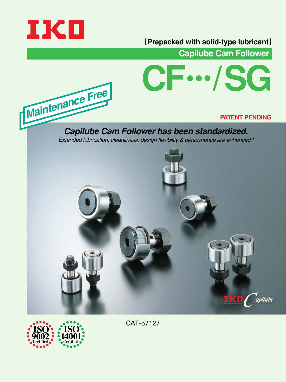

**Maintenance Fre<sup>e</sup>**

#### **[Prepacked with solid-type lubricant]**

**Capilube Cam Follower**



#### **PATENT PENDING**

**Capilube Cam Follower has been standardized.** Extended lubrication, cleanliness, design flexibility & performance are enhanced !





CAT-57127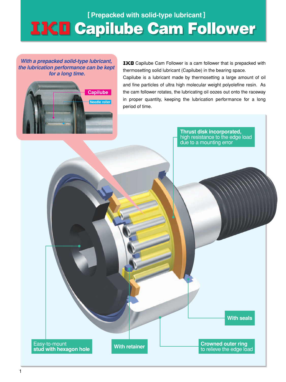# **Example 10 Indepediate Cample 10 Inc. 1998 11 Capilube Cam Follower**

**With a prepacked solid-type lubricant, the lubrication performance can be kept for a long time.**



IKD Capilube Cam Follower is a cam follower that is prepacked with thermosetting solid lubricant (Capilube) in the bearing space.

Capilube is a lubricant made by thermosetting a large amount of oil and fine particles of ultra high molecular weight polyolefine resin. As the cam follower rotates, the lubricating oil oozes out onto the raceway in proper quantity, keeping the lubrication performance for a long period of time.

> **Thrust disk incorporated,**  high resistance to the edge load due to a mounting error

Easy-to-mount **stud with hexagon hole**

**With retainer**

**With seals**

**Crowned outer ring**  to relieve the edge load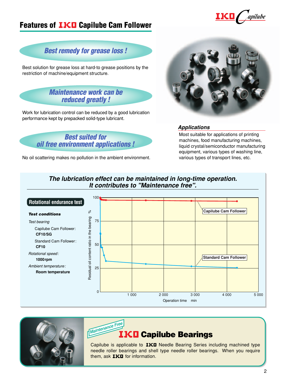#### **Features of IKO Capilube Cam Follower**



#### **Best remedy for grease loss !**

Best solution for grease loss at hard-to grease positions by the restriction of machine/equipment structure.



Work for lubrication control can be reduced by a good lubrication performance kept by prepacked solid-type lubricant.



No oil scattering makes no pollution in the ambient environment.



#### **Applications**

Most suitable for applications of printing machines, food manufacturing machines, liquid crystal/semiconductor manufacturing equipment, various types of washing line, various types of transport lines, etc.

#### **The lubrication effect can be maintained in long-time operation. It contributes to "Maintenance free".**







Capilube is applicable to IKO Needle Bearing Series including machined type needle roller bearings and shell type needle roller bearings. When you require them, ask  $IKI$  for information.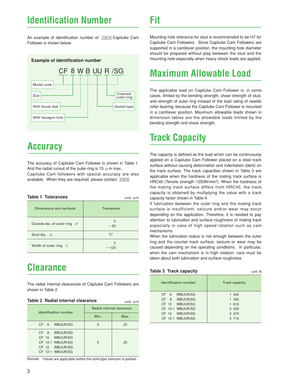## **Identification Number**

An example of identification number of FIKE Capilube Cam Follower is shown below.



## **Accuracy**

The accuracy of Capilube Cam Follower is shown in Table 1. And the radial runout of the outer ring is 15  $\mu$  m max.. Capilube Cam followers with special accuracy are also available. When they are required, please contact 耳

| <b>Table 1 Tolerances</b>                    | unit: $\mu$ m     |
|----------------------------------------------|-------------------|
| Dimensions and symbols                       | <b>Tolerances</b> |
| Outside dia. of outer ring<br>$\overline{D}$ | U<br>$-50$        |
| Stud dia. $d_1$                              | h7                |
| Width of outer ring $C$                      | U<br>— 120        |

## **Clearance**

The radial internal clearances of Capilube Cam Followers are shown in Table 2.

| Table 2 Radial internal clearance<br>unit: $\mu$ m                                        |                           |      |  |  |  |  |  |  |
|-------------------------------------------------------------------------------------------|---------------------------|------|--|--|--|--|--|--|
| Identification number                                                                     | Radial internal clearance |      |  |  |  |  |  |  |
|                                                                                           | Min.                      | Max. |  |  |  |  |  |  |
| CF 6 WBUUR/SG                                                                             | 5                         | 20   |  |  |  |  |  |  |
| CF 8 WBUUR/SG<br>CF 10 WBUUR/SG<br>CF 10-1 WBUUR/SG<br>CF 12 WBUUR/SG<br>CF 12-1 WBUUR/SG | 5                         | 25   |  |  |  |  |  |  |

Remark Values are applicable before the solid-type lubricant is packed.

**Fit**

Mounting hole tolerance for stud is recommended to be H7 for Capilube Cam Followers. Since Capilube Cam Followers are supported in a cantilever position, the mounting hole diameter should be prepared without play between the stud and the mounting hole especially when heavy shock loads are applied.

## **Maximum Allowable Load**

The applicable load on Capilube Cam Follower is, in some cases, limited by the bending strength, shear strength of stud, and strength of outer ring instead of the load rating of needle roller bearing, because the Capilube Cam Follower is mounted in a cantilever position. Maximum allowable loads shown in dimension tables are the allowable loads limited by the bending strength and shear strength.

## **Track Capacity**

The capacity is defined as the load which can be continuously applied on a Capilube Cam Follower placed on a steel track surface without causing deformation and indentation (dent) on the track surface. The track capacities shown in Table 3 are applicable when the hardness of the mating track surface is HRC40 (Tensile strength 1250N/mm2). When the hardness of the mating track surface differs from HRC40, the track capacity is obtained by multiplying the value with a track capacity factor shown in Table 4.

If lubrication between the outer ring and the mating track surface is insufficient, seizure and/or wear may occur depending on the application. Therefore, it is needed to pay attention to lubrication and surface roughness of mating track especially in case of high speed rotation such as cam mechanisms.

When the lubrication status is not enough between the outer ring and the counter track surface, seizure or wear may be caused depending on the operating conditions. In particular, when the cam mechanism is in high rotation, care must be taken about both lubrication and surface roughness.

| Table 3 Track capacity      | unit: N               |
|-----------------------------|-----------------------|
| Identification number       | <b>Track capacity</b> |
| WBUUR/SG<br>CF <sub>6</sub> | 1 040                 |
| CF 8 WBUUR/SG               | 1 330                 |
| CF 10 WBUUR/SG              | 1 610                 |
| CF 10-1 WBUUR/SG            | 2 0 3 0               |
| CF 12 WBUUR/SG              | 2 470                 |
| CF 12-1 WBUUR/SG            | 2 710                 |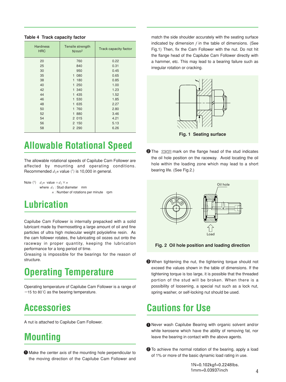| <b>Hardness</b><br><b>HRC</b> | Tensile strength<br>N/mm <sup>2</sup> | Track capacity factor |
|-------------------------------|---------------------------------------|-----------------------|
| 20                            | 760                                   | 0.22                  |
| 25                            | 840                                   | 0.31                  |
| 30                            | 950                                   | 0.45                  |
| 35                            | 1 080                                 | 0.65                  |
| 38                            | 1 180                                 | 0.85                  |
| 40                            | 1 250                                 | 1.00                  |
| 42                            | 1 340                                 | 1.23                  |
| 44                            | 1 435                                 | 1.52                  |
| 46                            | 1 530                                 | 1.85                  |
| 48                            | 1 635                                 | 2.27                  |
| 50                            | 1 760                                 | 2.80                  |
| 52                            | 1 880                                 | 3.46                  |
| 54                            | 2 015                                 | 4.21                  |
| 56                            | 2 150                                 | 5.13                  |
| 58                            | 2 2 9 0                               | 6.26                  |
|                               |                                       |                       |

#### **Table 4 Track capacity factor**

## **Allowable Rotational Speed**

The allowable rotational speeds of Capilube Cam Follower are affected by mounting and operating conditions. Recommended  $d_1n$  value  $(1)$  is 10,000 in general.

Note (1)  $d_1n$  value  $=d_1 \times n$ where  $d_1$ : Stud diameter mm  $n:$  Number of rotations per minute rpm

## **Lubrication**

Capilube Cam Follower is internally prepacked with a solid lubricant made by thermosetting a large amount of oil and fine particles of ultra high molecular weight polyolefine resin. As the cam follower rotates, the lubricating oil oozes out onto the raceway in proper quantity, keeping the lubrication performance for a long period of time.

Greasing is impossible for the bearings for the reason of structure.

## **Operating Temperature**

Operating temperature of Capilube Cam Follower is a range of  $-15$  to 80°C as the bearing temperature.

## **Accessories**

A nut is attached to Capilube Cam Follower.

#### **Mounting**

**D** Make the center axis of the mounting hole perpendicular to the moving direction of the Capilube Cam Follower and

match the side shoulder accurately with the seating surface indicated by dimension *f* in the table of dimensions. (See Fig.1) Then, fix the Cam Follower with the nut. Do not hit the flange head of the Capilube Cam Follower directly with a hammer, etc. This may lead to a bearing failure such as irregular rotation or cracking.



**Fig. 1 Seating surface**

**2** The  $\frac{1}{2}$  The  $\frac{1}{2}$  mark on the flange head of the stud indicates the oil hole position on the raceway. Avoid locating the oil hole within the loading zone which may lead to a short bearing life. (See Fig.2.)



**Fig. 2 Oil hole position and loading direction**

When tightening the nut, the tightening torque should not 3 exceed the values shown in the table of dimensions. If the tightening torque is too large, it is possible that the threaded portion of the stud will be broken. When there is a possibility of loosening, a special nut such as a lock nut, spring washer, or self-locking nut should be used.

## **Cautions for Use**

- **D** Never wash Capilube Bearing with organic solvent and/or white kerosene which have the ability of removing fat, nor leave the bearing in contact with the above agents.
- 2 To achieve the normal rotation of the bearing, apply a load of 1% or more of the basic dynamic load rating in use.

1N=0.102kgf=0.2248lbs. 1mm=0.03937inch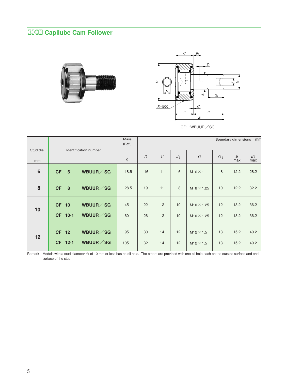#### **Capilube Cam Follower**





CF…WBUUR/SG

|                 |                |                       | Mass<br>(Ref.) | <b>Boundary dimensions</b><br>mm |               |                |                   |                |                       |                       |
|-----------------|----------------|-----------------------|----------------|----------------------------------|---------------|----------------|-------------------|----------------|-----------------------|-----------------------|
| Stud dia.<br>mm |                | Identification number | g              | $\overline{D}$                   | $\mathcal{C}$ | d <sub>1</sub> | $\overline{G}$    | G <sub>1</sub> | $\overline{B}$<br>max | B <sub>1</sub><br>max |
| $6\phantom{1}$  | <b>CF</b><br>6 | WBUUR / SG            | 18.5           | 16                               | 11            | 6              | $M$ 6 $\times$ 1  | 8              | 12.2                  | 28.2                  |
| 8               | <b>CF</b><br>8 | WBUUR / SG            | 28.5           | 19                               | 11            | 8              | M $8 \times 1.25$ | 10             | 12.2                  | 32.2                  |
| 10              | <b>CF 10</b>   | WBUUR / SG            | 45             | 22                               | 12            | 10             | $M10 \times 1.25$ | 12             | 13.2                  | 36.2                  |
|                 | CF 10-1        | WBUUR / SG            | 60             | 26                               | 12            | 10             | $M10 \times 1.25$ | 12             | 13.2                  | 36.2                  |
| 12              | CF 12          | WBUUR / SG            | 95             | 30                               | 14            | 12             | $M12 \times 1.5$  | 13             | 15.2                  | 40.2                  |
|                 | CF 12-1        | WBUUR / SG            | 105            | 32                               | 14            | 12             | $M12 \times 1.5$  | 13             | 15.2                  | 40.2                  |

Remark Models with a stud diameter *d*1 of 10 mm or less has no oil hole. The others are provided with one oil hole each on the outside surface and end surface of the stud.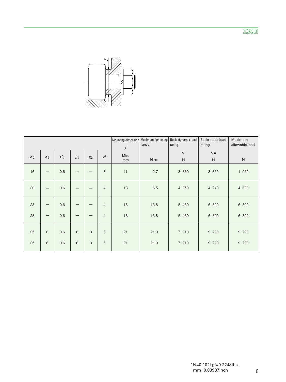亚区回



|                |       |       |       |                |                |                                | Mounting dimension Maximum tightening<br>torque | Basic dynamic load<br>rating  | Basic static load<br>rating | Maximum<br>allowable load |
|----------------|-------|-------|-------|----------------|----------------|--------------------------------|-------------------------------------------------|-------------------------------|-----------------------------|---------------------------|
| B <sub>2</sub> | $B_3$ | $C_1$ | $g_1$ | g <sub>2</sub> | H              | $\boldsymbol{f}$<br>Min.<br>mm | $N \cdot m$                                     | $\mathcal{C}$<br>$\mathsf{N}$ | $C_0$<br>$\mathsf{N}$       | ${\sf N}$                 |
| 16             |       | 0.6   |       |                | 3              | 11                             | 2.7                                             | 3 660                         | 3 650                       | 1 950                     |
| 20             |       | 0.6   |       |                | $\overline{4}$ | 13                             | 6.5                                             | 4 250                         | 4 740                       | 4 6 20                    |
| 23             |       | 0.6   |       |                | $\overline{4}$ | 16                             | 13.8                                            | 5 4 3 0                       | 6 890                       | 6 890                     |
| 23             |       | 0.6   |       |                | $\overline{4}$ | 16                             | 13.8                                            | 5 4 3 0                       | 6 8 9 0                     | 6 890                     |
| 25             | 6     | 0.6   | 6     | 3              | 6              | 21                             | 21.9                                            | 7 910                         | 9 7 9 0                     | 9 7 9 0                   |
| 25             | 6     | 0.6   | 6     | 3              | 6              | 21                             | 21.9                                            | 7 910                         | 9 7 9 0                     | 9 7 9 0                   |